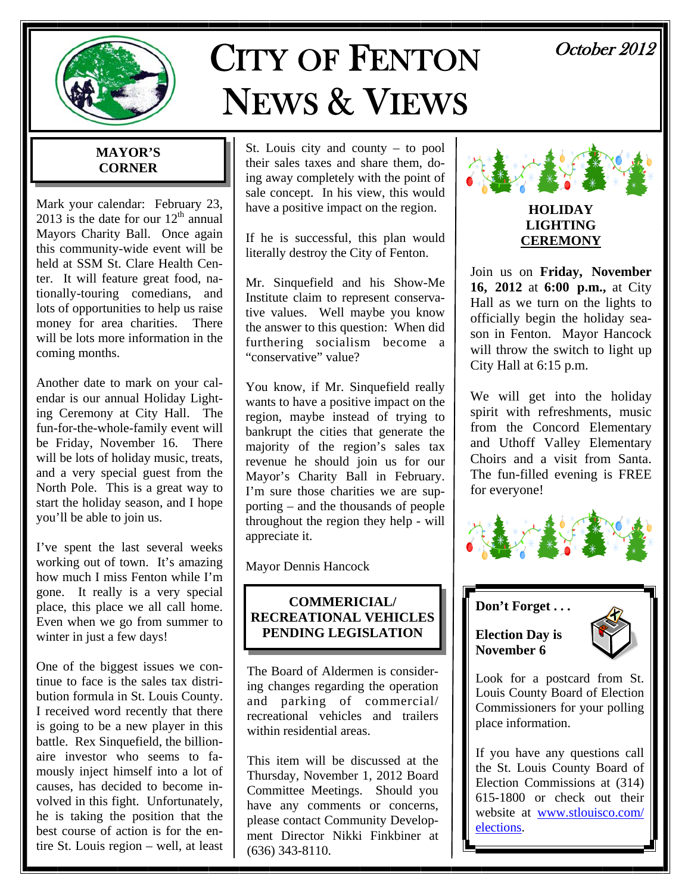

# CITY OF FENTON NEWS & VIEWS

# October 2012

### **MAYOR'S CORNER**

Mark your calendar: February 23, 2013 is the date for our  $12<sup>th</sup>$  annual Mayors Charity Ball. Once again this community-wide event will be held at SSM St. Clare Health Center. It will feature great food, nationally-touring comedians, and lots of opportunities to help us raise money for area charities. There will be lots more information in the coming months.

Another date to mark on your calendar is our annual Holiday Lighting Ceremony at City Hall. The fun-for-the-whole-family event will be Friday, November 16. There will be lots of holiday music, treats, and a very special guest from the North Pole. This is a great way to start the holiday season, and I hope you'll be able to join us.

I've spent the last several weeks working out of town. It's amazing how much I miss Fenton while I'm gone. It really is a very special place, this place we all call home. Even when we go from summer to winter in just a few days!

One of the biggest issues we continue to face is the sales tax distribution formula in St. Louis County. I received word recently that there is going to be a new player in this battle. Rex Sinquefield, the billionaire investor who seems to famously inject himself into a lot of causes, has decided to become involved in this fight. Unfortunately, he is taking the position that the best course of action is for the entire St. Louis region – well, at least

St. Louis city and county – to pool their sales taxes and share them, doing away completely with the point of sale concept. In his view, this would have a positive impact on the region.

If he is successful, this plan would literally destroy the City of Fenton.

Mr. Sinquefield and his Show-Me Institute claim to represent conservative values. Well maybe you know the answer to this question: When did furthering socialism become a "conservative" value?

You know, if Mr. Sinquefield really wants to have a positive impact on the region, maybe instead of trying to bankrupt the cities that generate the majority of the region's sales tax revenue he should join us for our Mayor's Charity Ball in February. I'm sure those charities we are supporting – and the thousands of people throughout the region they help - will appreciate it.

Mayor Dennis Hancock

### **COMMERICIAL/ RECREATIONAL VEHICLES PENDING LEGISLATION**

The Board of Aldermen is considering changes regarding the operation and parking of commercial/ recreational vehicles and trailers within residential areas.

This item will be discussed at the Thursday, November 1, 2012 Board Committee Meetings. Should you have any comments or concerns, please contact Community Development Director Nikki Finkbiner at (636) 343-8110.



### **HOLIDAY LIGHTING CEREMONY**

Join us on **Friday, November 16, 2012** at **6:00 p.m.,** at City Hall as we turn on the lights to officially begin the holiday season in Fenton. Mayor Hancock will throw the switch to light up City Hall at 6:15 p.m.

We will get into the holiday spirit with refreshments, music from the Concord Elementary and Uthoff Valley Elementary Choirs and a visit from Santa. The fun-filled evening is FREE for everyone!



**Don't Forget . . .** 

**Election Day is November 6** 



Look for a postcard from St. Louis County Board of Election Commissioners for your polling place information.

If you have any questions call the St. Louis County Board of Election Commissions at (314) 615-1800 or check out their website at www.stlouisco.com/ elections.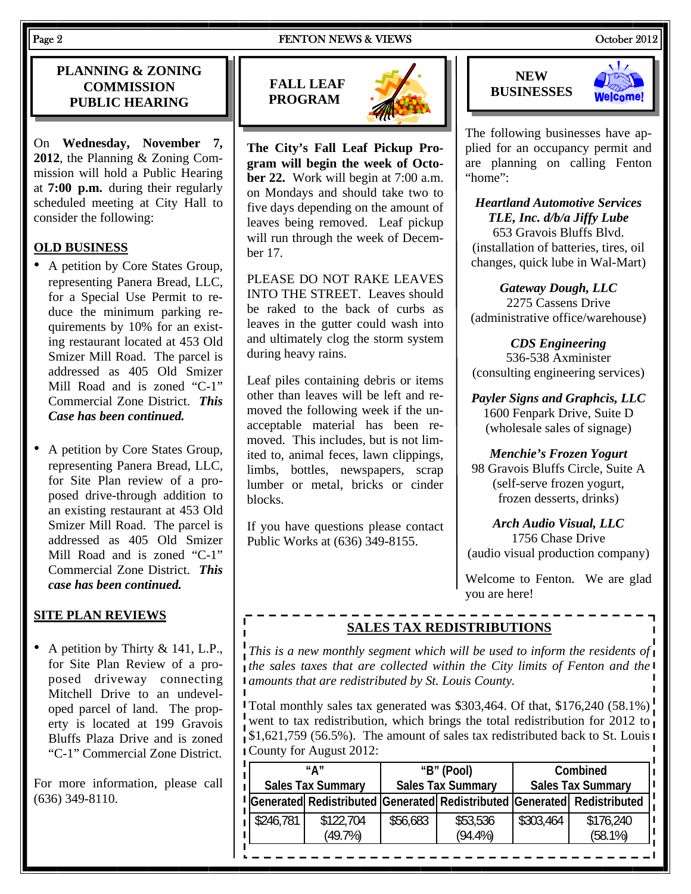### **PLANNING & ZONING COMMISSION PUBLIC HEARING**

On **Wednesday, November 7, 2012**, the Planning & Zoning Commission will hold a Public Hearing at **7:00 p.m.** during their regularly scheduled meeting at City Hall to consider the following:

### **OLD BUSINESS**

- A petition by Core States Group, representing Panera Bread, LLC, for a Special Use Permit to reduce the minimum parking requirements by 10% for an existing restaurant located at 453 Old Smizer Mill Road. The parcel is addressed as 405 Old Smizer Mill Road and is zoned "C-1" Commercial Zone District. *This Case has been continued.*
- A petition by Core States Group, representing Panera Bread, LLC, for Site Plan review of a proposed drive-through addition to an existing restaurant at 453 Old Smizer Mill Road. The parcel is addressed as 405 Old Smizer Mill Road and is zoned "C-1" Commercial Zone District. *This case has been continued.*

### **SITE PLAN REVIEWS**

• A petition by Thirty & 141, L.P., for Site Plan Review of a proposed driveway connecting Mitchell Drive to an undeveloped parcel of land. The property is located at 199 Gravois Bluffs Plaza Drive and is zoned "C-1" Commercial Zone District.

For more information, please call (636) 349-8110.





**The City's Fall Leaf Pickup Program will begin the week of October 22.** Work will begin at 7:00 a.m. on Mondays and should take two to five days depending on the amount of leaves being removed. Leaf pickup will run through the week of December 17.

PLEASE DO NOT RAKE LEAVES INTO THE STREET. Leaves should be raked to the back of curbs as leaves in the gutter could wash into and ultimately clog the storm system during heavy rains.

Leaf piles containing debris or items other than leaves will be left and removed the following week if the unacceptable material has been removed. This includes, but is not limited to, animal feces, lawn clippings, limbs, bottles, newspapers, scrap lumber or metal, bricks or cinder blocks.

If you have questions please contact Public Works at (636) 349-8155.





The following businesses have applied for an occupancy permit and are planning on calling Fenton "home":

*Heartland Automotive Services TLE, Inc. d/b/a Jiffy Lube*  653 Gravois Bluffs Blvd. (installation of batteries, tires, oil changes, quick lube in Wal-Mart)

*Gateway Dough, LLC* 2275 Cassens Drive (administrative office/warehouse)

*CDS Engineering*  536-538 Axminister (consulting engineering services)

*Payler Signs and Graphcis, LLC*  1600 Fenpark Drive, Suite D (wholesale sales of signage)

*Menchie's Frozen Yogurt* 

98 Gravois Bluffs Circle, Suite A (self-serve frozen yogurt, frozen desserts, drinks)

*Arch Audio Visual, LLC*  1756 Chase Drive (audio visual production company)

Welcome to Fenton. We are glad you are here!

# **SALES TAX REDISTRIBUTIONS**

*This is a new monthly segment which will be used to inform the residents of the sales taxes that are collected within the City limits of Fenton and the amounts that are redistributed by St. Louis County.* 

Total monthly sales tax generated was \$303,464. Of that, \$176,240 (58.1%) went to tax redistribution, which brings the total redistribution for 2012 to  $\frac{1}{2}$ , \$1,621,759 (56.5%). The amount of sales tax redistributed back to St. Louis I County for August 2012:

|           | "∆″<br><b>Sales Tax Summary</b> | "B" (Pool)<br><b>Sales Tax Summary</b> |                        | Combined<br><b>Sales Tax Summary</b> |                                                                         |
|-----------|---------------------------------|----------------------------------------|------------------------|--------------------------------------|-------------------------------------------------------------------------|
|           |                                 |                                        |                        |                                      | Generated Redistributed Generated Redistributed Generated Redistributed |
| \$246,781 | \$122,704<br>(49.7%)            | \$56,683                               | \$53,536<br>$(94.4\%)$ | \$303,464                            | \$176,240<br>$(58.1\%)$                                                 |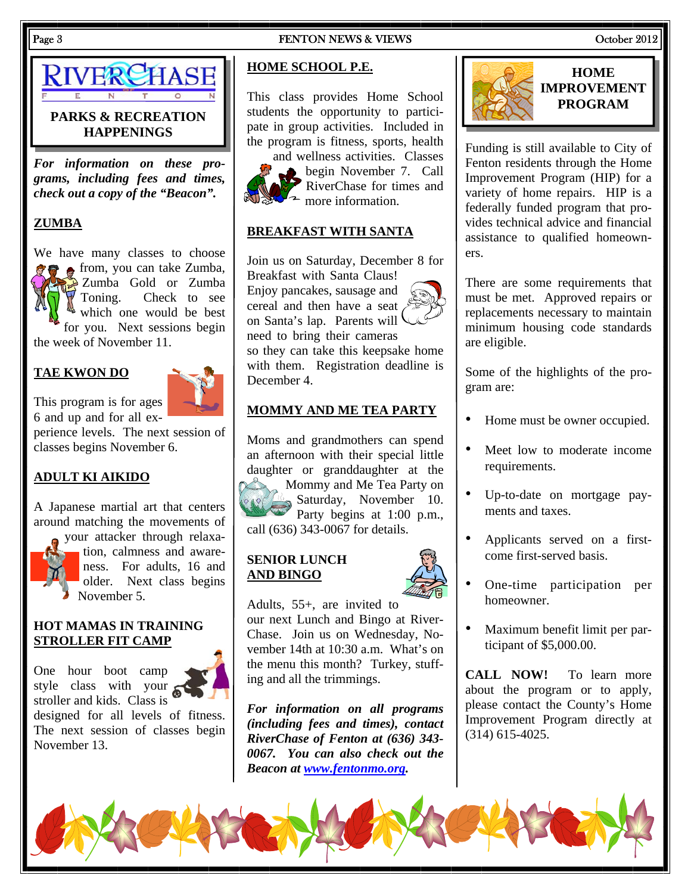### Page 3 FENTON NEWS & VIEWS COOPER 2012



### **PARKS & RECREATION HAPPENINGS**

*For information on these programs, including fees and times, check out a copy of the "Beacon".* 

### **ZUMBA**

We have many classes to choose **f f** from, you can take Zumba, Zumba Gold or Zumba Toning. Check to see which one would be best for you. Next sessions begin the week of November 11.

### **TAE KWON DO**

This program is for ages 6 and up and for all ex-



perience levels. The next session of classes begins November 6.

### **ADULT KI AIKIDO**

A Japanese martial art that centers around matching the movements of

your attacker through relaxation, calmness and awareness. For adults, 16 and older. Next class begins November 5.

### **HOT MAMAS IN TRAINING STROLLER FIT CAMP**

One hour boot camp style class with your stroller and kids. Class is

designed for all levels of fitness. The next session of classes begin November 13.

### **HOME SCHOOL P.E.**

This class provides Home School students the opportunity to participate in group activities. Included in the program is fitness, sports, health



and wellness activities. Classes begin November 7. Call RiverChase for times and  $\sim$  more information.

### **BREAKFAST WITH SANTA**

Join us on Saturday, December 8 for Breakfast with Santa Claus! Enjoy pancakes, sausage and cereal and then have a seat on Santa's lap. Parents will need to bring their cameras so they can take this keepsake home with them. Registration deadline is December 4.

### **MOMMY AND ME TEA PARTY**

Moms and grandmothers can spend an afternoon with their special little daughter or granddaughter at the Mommy and Me Tea Party on Saturday, November 10. Party begins at 1:00 p.m., call (636) 343-0067 for details.

### **SENIOR LUNCH AND BINGO**



*For information on all programs (including fees and times), contact RiverChase of Fenton at (636) 343- 0067. You can also check out the Beacon at www.fentonmo.org.*



Funding is still available to City of Fenton residents through the Home Improvement Program (HIP) for a variety of home repairs. HIP is a federally funded program that provides technical advice and financial assistance to qualified homeowners.

There are some requirements that must be met. Approved repairs or replacements necessary to maintain minimum housing code standards are eligible.

Some of the highlights of the program are:

- Home must be owner occupied.
- Meet low to moderate income requirements.
- Up-to-date on mortgage payments and taxes.
- Applicants served on a firstcome first-served basis.
- One-time participation per homeowner.
- Maximum benefit limit per participant of \$5,000.00.

**CALL NOW!** To learn more about the program or to apply, please contact the County's Home Improvement Program directly at (314) 615-4025.

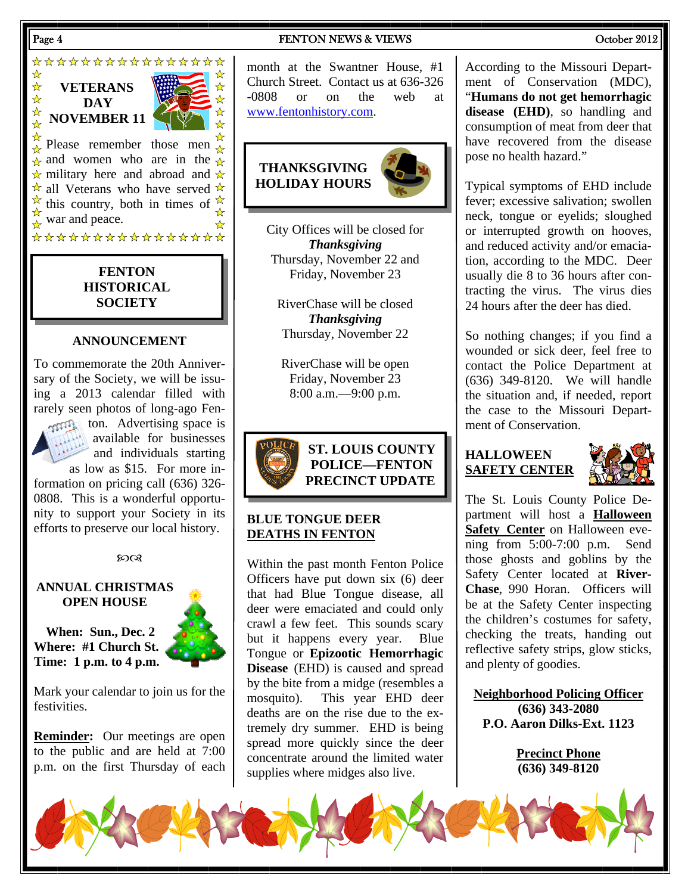### Page 4 **FENTON NEWS & VIEWS** Cotober 2012

\*\*\*\*\*\*\*\*\*\*\*\*\*\*\*\* ☆  $\frac{1}{\sqrt{2}}$ **VETERANS**   $\frac{1}{N}$ **DAY**   $\star$ **NOVEMBER 11**  Please remember those men  $\frac{a}{\lambda}$  $\hat{\mathbf{a}}$  and women who are in the  $\hat{\mathbf{a}}$  $\star$  military here and abroad and  $\star$  $\star$  all Veterans who have served  $\star$  $\overrightarrow{A}$  this country, both in times of  $\overrightarrow{A}$  $\frac{M}{N}$  war and peace. \*\*\*\*\*\*\*\*\*\*\*\*\*\*\*\*

### **FENTON HISTORICAL SOCIETY**

### **ANNOUNCEMENT**

To commemorate the 20th Anniversary of the Society, we will be issuing a 2013 calendar filled with rarely seen photos of long-ago Fenton. Advertising space is available for businesses and individuals starting

as low as \$15. For more information on pricing call (636) 326- 0808. This is a wonderful opportunity to support your Society in its efforts to preserve our local history.

### $20Q$

### **ANNUAL CHRISTMAS OPEN HOUSE**

**When: Sun., Dec. 2 Where: #1 Church St. Time: 1 p.m. to 4 p.m.** 

Mark your calendar to join us for the festivities.

**Reminder:** Our meetings are open to the public and are held at 7:00 p.m. on the first Thursday of each

month at the Swantner House, #1 Church Street. Contact us at 636-326 -0808 or on the web at www.fentonhistory.com.



City Offices will be closed for *Thanksgiving*  Thursday, November 22 and Friday, November 23

RiverChase will be closed *Thanksgiving*  Thursday, November 22

RiverChase will be open Friday, November 23 8:00 a.m.—9:00 p.m.



### **BLUE TONGUE DEER DEATHS IN FENTON**

Within the past month Fenton Police Officers have put down six (6) deer that had Blue Tongue disease, all deer were emaciated and could only crawl a few feet. This sounds scary but it happens every year. Blue Tongue or **Epizootic Hemorrhagic Disease** (EHD) is caused and spread by the bite from a midge (resembles a mosquito). This year EHD deer deaths are on the rise due to the extremely dry summer. EHD is being spread more quickly since the deer concentrate around the limited water supplies where midges also live.

According to the Missouri Department of Conservation (MDC), "**Humans do not get hemorrhagic disease (EHD)**, so handling and consumption of meat from deer that have recovered from the disease pose no health hazard."

Typical symptoms of EHD include fever; excessive salivation; swollen neck, tongue or eyelids; sloughed or interrupted growth on hooves, and reduced activity and/or emaciation, according to the MDC. Deer usually die 8 to 36 hours after contracting the virus. The virus dies 24 hours after the deer has died.

So nothing changes; if you find a wounded or sick deer, feel free to contact the Police Department at (636) 349-8120. We will handle the situation and, if needed, report the case to the Missouri Department of Conservation.

### **HALLOWEEN SAFETY CENTER**



The St. Louis County Police Department will host a **Halloween Safety Center** on Halloween evening from 5:00-7:00 p.m. Send those ghosts and goblins by the Safety Center located at **River-Chase**, 990 Horan. Officers will be at the Safety Center inspecting the children's costumes for safety, checking the treats, handing out reflective safety strips, glow sticks, and plenty of goodies.

**Neighborhood Policing Officer (636) 343-2080 P.O. Aaron Dilks-Ext. 1123** 

> **Precinct Phone (636) 349-8120**

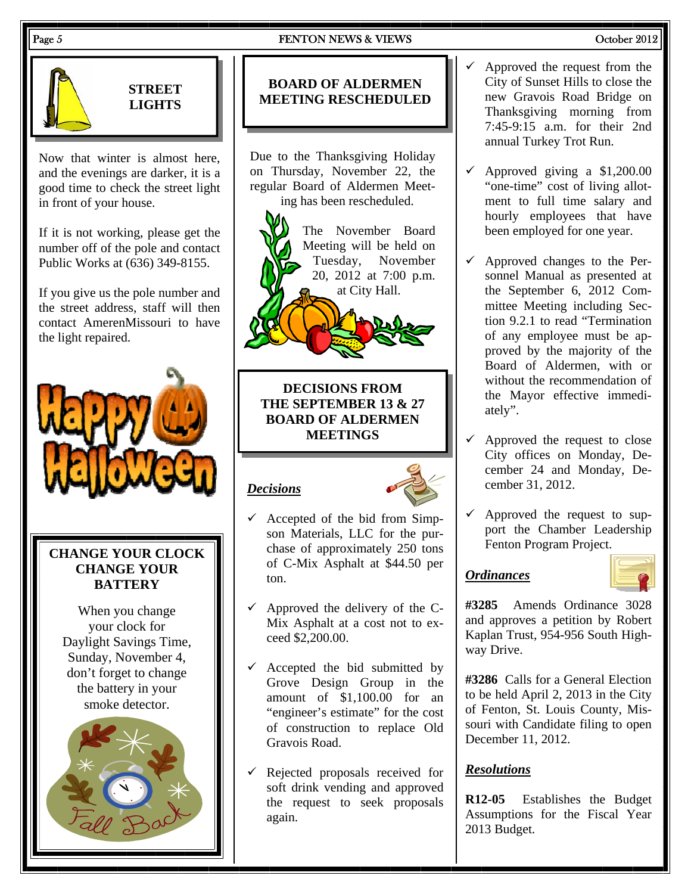### Page 5 **FENTON NEWS & VIEWS** COCODER 2012



### **STREET LIGHTS**

Now that winter is almost here, and the evenings are darker, it is a good time to check the street light in front of your house.

If it is not working, please get the number off of the pole and contact Public Works at (636) 349-8155.

If you give us the pole number and the street address, staff will then contact AmerenMissouri to have the light repaired.



# **CHANGE YOUR CLOCK CHANGE YOUR BATTERY**

When you change your clock for Daylight Savings Time, Sunday, November 4, don't forget to change the battery in your smoke detector.



# **BOARD OF ALDERMEN MEETING RESCHEDULED**

Due to the Thanksgiving Holiday on Thursday, November 22, the regular Board of Aldermen Meeting has been rescheduled.

The November Board Meeting will be held on Tuesday, November 20, 2012 at 7:00 p.m. at City Hall.

**DECISIONS FROM THE SEPTEMBER 13 & 27 BOARD OF ALDERMEN MEETINGS** 

# *Decisions*



- $\checkmark$  Accepted of the bid from Simpson Materials, LLC for the purchase of approximately 250 tons of C-Mix Asphalt at \$44.50 per ton.
- Approved the delivery of the C-Mix Asphalt at a cost not to exceed \$2,200.00.
- Accepted the bid submitted by Grove Design Group in the amount of \$1,100.00 for an "engineer's estimate" for the cost of construction to replace Old Gravois Road.
- Rejected proposals received for soft drink vending and approved the request to seek proposals again.
- $\checkmark$  Approved the request from the City of Sunset Hills to close the new Gravois Road Bridge on Thanksgiving morning from 7:45-9:15 a.m. for their 2nd annual Turkey Trot Run.
- 9 Approved giving a \$1,200.00 "one-time" cost of living allotment to full time salary and hourly employees that have been employed for one year.
- $\checkmark$  Approved changes to the Personnel Manual as presented at the September 6, 2012 Committee Meeting including Section 9.2.1 to read "Termination of any employee must be approved by the majority of the Board of Aldermen, with or without the recommendation of the Mayor effective immediately".
- $\checkmark$  Approved the request to close City offices on Monday, December 24 and Monday, December 31, 2012.
- $\checkmark$  Approved the request to support the Chamber Leadership Fenton Program Project.

### *Ordinances*



**#3285** Amends Ordinance 3028 and approves a petition by Robert Kaplan Trust, 954-956 South Highway Drive.

**#3286** Calls for a General Election to be held April 2, 2013 in the City of Fenton, St. Louis County, Missouri with Candidate filing to open December 11, 2012.

# *Resolutions*

**R12-05** Establishes the Budget Assumptions for the Fiscal Year 2013 Budget.